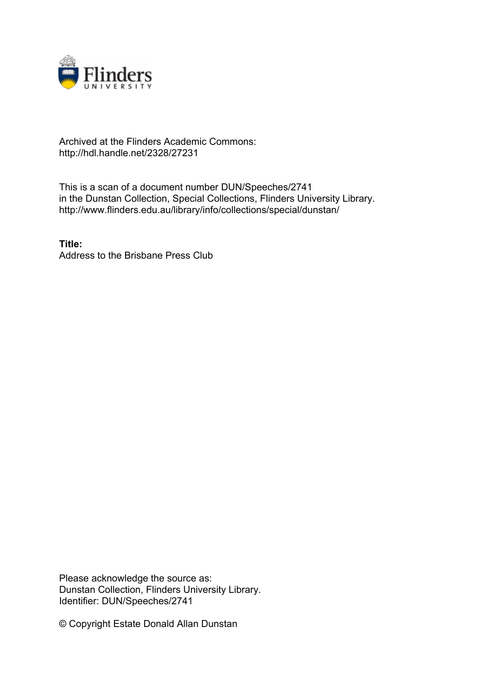

## Archived at the Flinders Academic Commons: http://hdl.handle.net/2328/27231

This is a scan of a document number DUN/Speeches/2741 in the Dunstan Collection, Special Collections, Flinders University Library. http://www.flinders.edu.au/library/info/collections/special/dunstan/

**Title:** Address to the Brisbane Press Club

Please acknowledge the source as: Dunstan Collection, Flinders University Library. Identifier: DUN/Speeches/2741

© Copyright Estate Donald Allan Dunstan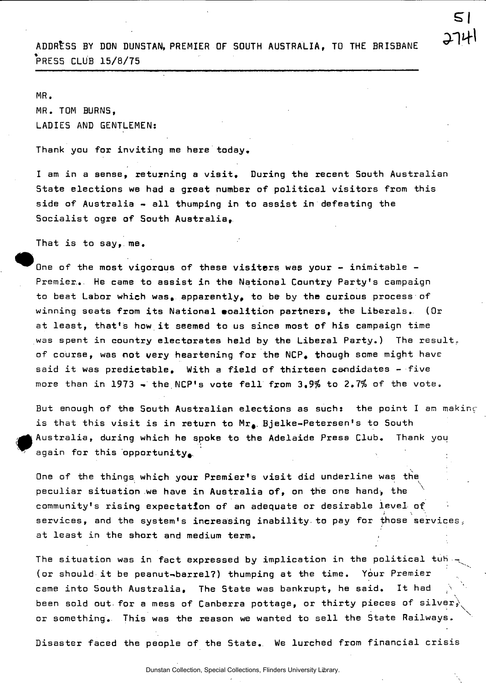

ADDRESS BY DON DUNSTAN, PREMIER OF SOUTH AUSTRALIA, TO THE BRISBANE PRESS CLUB 15/8/75

## MR.

MR. TQM BURNS, LADIES AND GENTLEMEN:

Thank you for inviting me here today.

I am in a sense, returning a visit. During the recent South Australian State elections we had a great number of political visitors from this side of Australia - all thumping in to assist in defeating the Socialist ogre of South Australia,

That is to say, me.

One of the most vigorous of these visitors was your - inimitable -Premier... He came to assist in the National Country Party's campaign to beat Labor which was, apparently, to be by the curious process of winning seats from its National ecalition partners, the Liberals. (Or at least, that's how it seemed to us since most of his campaign time was spent in country electorates held by the Liberal Party.) The result, of course, was not very heartening for the NCP. though some might have said it was predictable. With a field of thirteen candidates - five more than in 1973 - the NCP's vote fell from 3.9% to 2.7% of the vote.

But enough of the South Australian elections as such: the point I am making is that this visit is in return to  $Mr_{\bullet}$ . Bjelke-Petersen's to South Australia, during which he spoke to the Adelaide Press Club. Thank you again for this opportunity.

One of the things which your Premier's visit did underline was the peculiar situation we have in Australia of, on the one hand, the v v N community's rising expectation of an adequate or desirable level of *i \*  services, and the system's increasing inability to pay for those services.: at least in the short and medium term.

The situation was in fact expressed by implication in the political tub. (or should it be peanut-barrel?) thumping at the time. Your Premier came into South Australia, The State was bankrupt, he said. It had been sold out for a mess of Canberra pottage, or thirty pieces of silver, or something. This was the reason we wanted to sell the State Railways.  $x \in \mathbb{R}$ 

Disaster faced the people of the State. We lurched from financial crisis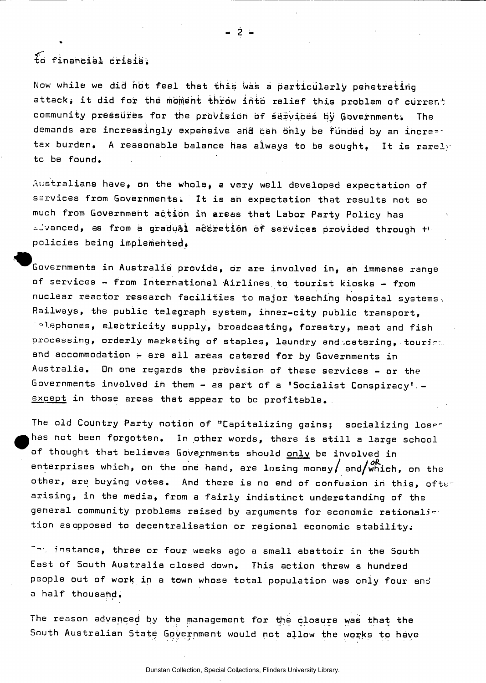to financial crisisi

Now while we did not feel that this was a particularly penetrating attack, it did for the moment throw into relief this problem of current community pressures for the provision of services by Government. The demands are increasingly expensive and can only be funded by an incre-tax burden. A reasonable balance has always to be sought. It is rarely to be found.

 $-2$  -

Australians have, on the whole, a very well developed expectation of services from Governments. It is an expectation that results not so much from Government action in areas that Labor Party Policy has advanced, as from a gradual accretion of services provided through +F policies being implemented.

^Governments in Australia provide, or are involved in, ah immense range of services - from International Airlines, to. tourist kiosks - from nuclear reactor research facilities to major teaching hospital systems. Railways, the public telegraph system, inner-city public transport, °lephones, electricity supply, broadcasting, forestry, meat and fish processing, orderly marketing of staples, laundry and catering, touriet. and accommodation  $\div$  are all areas catered for by Governments in Australia. On one regards the provision of these services - or the Governments involved in them - as part of a 'Socialist Conspiracy' except in those areas that appear to be profitable.

The old Country Party notion of "Capitalizing gains; socializing loser has not been forgotten. In other words, there is still a large school of thought that believes Governments should only be involved in enterprises which, on the one hand, are losing money, and/which, on the other, are buying votes. And there is no end of confusion in this, ofter arising, in the media, from a fairly indistinct understanding of the general community problems raised by arguments for economic rationalise tion as opposed to decentralisation or regional economic stabilityi

instance, three or four weeks ago a small abattoir in the South East of South Australia closed down. This action threw a hundred people out of work in a town whose total population was only four and a half thousand.

The reason advanced by the management for the closure was that the South Australian State Government would not allow the works to have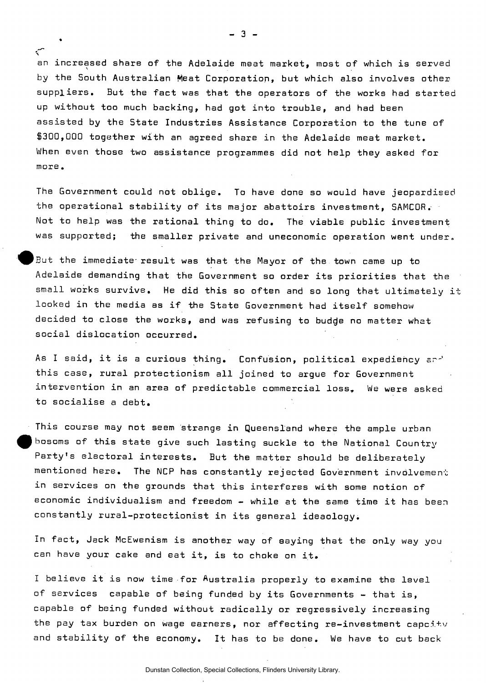an increased share of the Adelaide meat market, most of which is served by the South Australian Meat Corporation, but which also involves other suppliers. But the fact was that the operators of the works had started up without too much backing, had got into trouble, and had been assisted by the State Industries Assistance Corporation to the tune of \$300,000 together with an agreed share in the Adelaide meat market. When even those two assistance programmes did not help they asked for more.

The Government could not oblige. To have done so would have jeopardised the operational stability of its major abattoirs investment, SAMC0R. Not to help was the rational thing to do. The viable public investment was supported; the smaller private and uneconomic operation went under.

But the immediate result was that the Mayor of the town came up to Adelaide demanding that the Government so order its priorities that the small works survive. He did this so often and so long that ultimately it looked in the media as if the State Government had itself somehow decided to close the works, and was refusing to budde no matter what social dislocation occurred.

As I said, it is a curious thing. Confusion, political expediency sr-' this case, rural protectionism all joined to argue for Government intervention in an area of predictable commercial loss. We were asked to socialise a debt.

This course may not seem strange in Queensland where the ample urban bosoms of this state give such lasting suckle to the National Country Party's electoral interests. But the matter should be deliberately mentioned here. The NCP has constantly rejected Government involvement in services on the grounds that this interferes with some notion of economic individualism and freedom - while at the same time it has been constantly rural-protectionist in its general ideaology.

In fact, Jack McEwenism is another way of aaying that the only way you can have your cake and eat it, is to choke on it.

I believe it is now time for Australia properly to examine the level of services capable of being funded by its Governments - that is, capable of being funded without radically or regressively increasing the pay tax burden on wage earners, nor affecting re-investment capcity and stability of the economy. It has to be done. We have to cut back

•

*\* 

Dunstan Collection, Special Collections, Flinders University Library.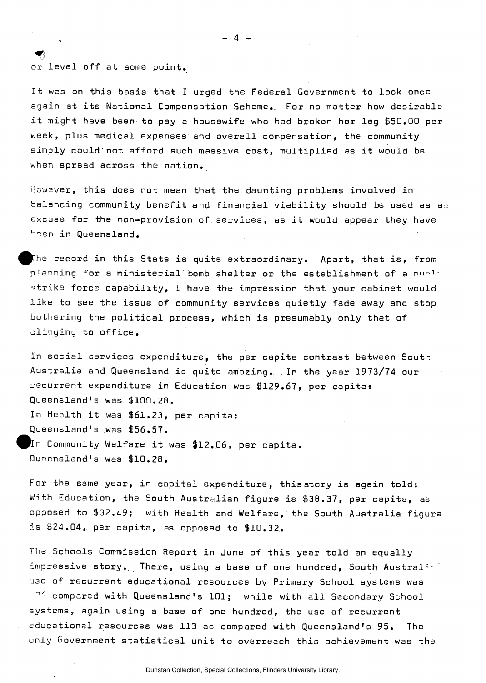$\bigtriangledown$ or level off at some point.

It was on this basis that I urged the Federal Government to look once again at its National Compensation Scheme.. For no matter how desirable it might have been to pay a housewife who had broken her leg \$50.00 per week, plus medical expenses and overall compensation, the community simply could'not afford such massive cost, multiplied as it would be when spread across the nation.

 $\blacksquare$ 

However, this does not mean that the daunting problems involved in balancing community benefit and financial viability should be used as an excuse for the non-provision of services, as it would appear they have been in Queensland.

The record in this State is quite extraordinary. Apart, that is, from planning for a ministerial bomb shelter or the establishment of a nurlistrike force capability, I have the impression that your cabinet would like to see the issue of community services quietly fade away and stop bothering the political process, which is presumably only that of clinging to office.

In social services expenditure, the per capita contrast between South Australia and Queensland is quite amazing.. . In the year 1973/74 our recurrent expenditure in Education was \$129.67, per capita: Queensland's was \$100.28. In Health it was \$61.23, per capita: Queensland's was \$56.57. In Community Welfare it was \$12.06, per capita. Queensland's was \$10.28.

For the same year, in capital expenditure, this story is again told: With Education, the South Australian figure is \$38.37, per capita, as opposed to \$32.49; with Health and Welfare, the South Australia figure is \$24.04, per capita, as opposed to \$10.32.

The Schools Commission Report in June of this year told an equally impressive story. There, using a base of one hundred, South Australion use of recurrent educational resources by Primary School systems was

compared with Queensland's 101; while with all Secondary School systems, again using a base of one hundred, the use of recurrent educational resources was 113 as compared with Queensland's 95. The only Government statistical unit to overreach this achievement was the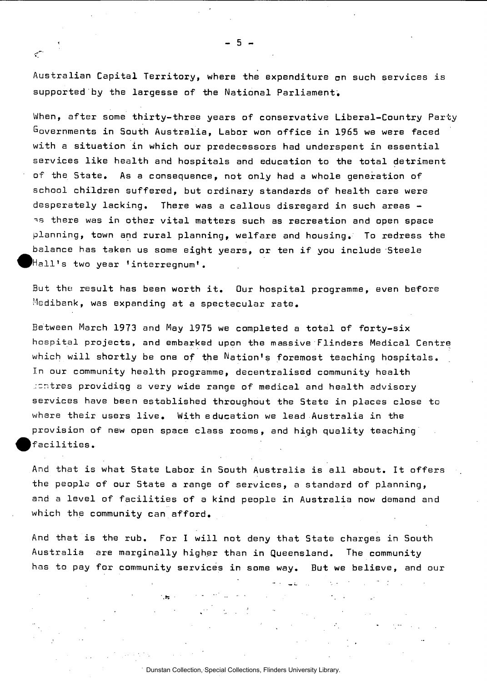Australian Capital Territory, where the expenditure on such services is supported by the largesse of the National Parliament.

When, after some thirty-three years of conservative Liberal-Country Party Governments in South Australia, Labor won office in 1965 we were faced with a situation in which our predecessors had underspent in essential services like health and hospitals and education to the total detriment of the State. As a consequence, not only had a whole generation of school children suffered, but ordinary standards of health care were desperately lacking. There was a callous disregard in such areas as there was in other vital matters such as recreation and open space planning, town and rural planning, welfare and housing. To redress the balance has taken us some eight years, or ten if you include Steele ^^Hall's two year 'interregnum'.

But the result has been worth it. Our hospital programme, even before Medibank, was expanding at a spectacular rate.

Between March 1973 and May 1975 we completed a total of forty-six hospital projects, and embarked upon the massive Flinders Medical Centre which will shortly be one of the Nation's foremost teaching hospitals. In our community health programme, decentralised community health ..cntres providigg a very wide range of medical and health advisory services have been established throughout the State in places close to where their users live. With education we lead Australia in the provision of new open space class rooms, and high quality teaching facilities.

And that is what 5tate Labor in South Australia is all about. It offers the people of our State a range of services, a standard of planning, and a level of facilities of a kind people in Australia now demand and which the community can afford.

And that is the rub. For I will not deny that State charges in South Australia are marginally higher than in Queensland. The community has to pay for community services in some way. But we believe, and our

n estas

الي الي.<br>منابع

 $\mathcal{L}(\mathcal{L})$  and  $\mathcal{L}(\mathcal{L})$ 

 $\sigma^2$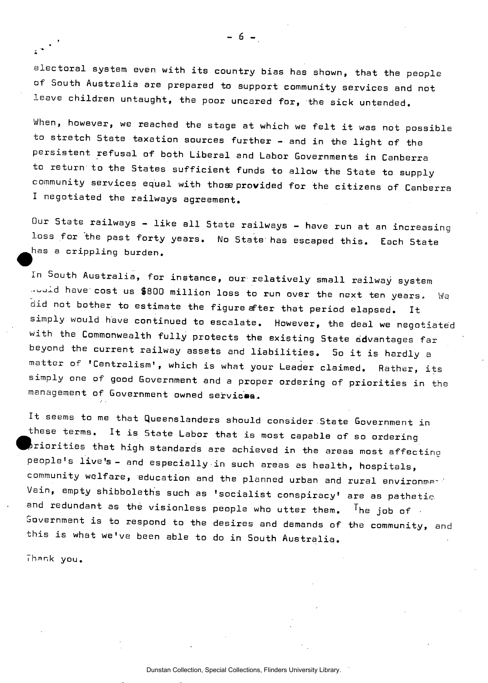electoral system even with its country bias has shown, that the people of South Australia are prepared to support community services and not leave children untaught, the poor uncared for, the sick untended.

When, however, we reached the stage at which we felt it was not possible to stretch State taxation sources further - and in the light of the persistent refusal of both Liberal and Labor Governments in Canberra to return to the States sufficient funds to allow the State to supply community services equal with those provided for the citizens of Canberra I negotiated the railways agreement.

Our State railways - like all State railways - have run at an increasing loss for the past forty years. No State has escaped this. Each State has a crippling burden.

In South Australia, for instance, our relatively small railway system would have cost us \$800 million loss to run over the next ten years. Wa did not bother to estimate the figure after that period elapsed. It simply would have continued to escalate. However, the deal we negotiated with the Commonwealth fully protects the existing State advantages far beyond the current railway assets and liabilities. So it is hardly a matter of 'Centralism', which is what your Leader claimed. Rather, its simply one of good Government and a proper ordering of priorities in the management of Government owned services.

It seems to me that Queenslanders should consider State Government in these terms. It is State Labor that is most capable of so ordering  $\mathbf b$ riorities that high standards are achieved in the areas most affecting people's live's- and especially in such areas as health, hospitals, community welfare, education and the planned urban and rural environmp-' Vain, empty shibboleths such as 'socialist conspiracy' are as pathetic, and redundant as the visionless people who utter them.  $^{\text{T}}$ he joh of Government is to respond to the desires and demands of the community, and this is what we've been able to do in South Australia.

Thank you.

Dunstan Collection, Special Collections, Flinders University Library.

 $-6 -$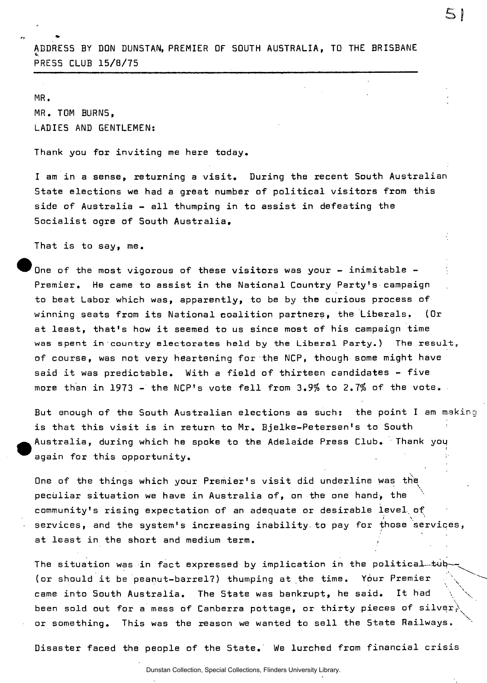ADDRESS BY DON DUNSTAN, PREMIER OF SOUTH AUSTRALIA, TO THE BRISBANE E<br>H PRESS CLUB 15/B/T5

51

## MR.

MR. TOM BURNS, LADIES AND GENTLEMEN:

Thank you for inviting me here today.

I am in a sense, returning a visit. During the recent South Australian State elections we had a great number of political visitors from this side of Australia - all thumping in to assist in defeating the Socialist ogre of South Australia,

That is to say, me.

One of the most vigorous of these visitors was your  $-$  inimitable  $-$ Premier. He came to assist in the National Country Party's campaign to beat Labor which was, apparently, to be by the curious process of winning seats from its National coalition partners, the Liberals. (Or at least, that's how it seemed to us since most of his campaign time was spent in country electorates held by the Liberal Party.) The result, of course, was not very heartening for the NCP, though some might have said it was predictable. With a field of thirteen candidates - five more than in 1973 - the NCP's vote fell from 3.9% to 2.7% of the vote.

But enough of the South Australian elections as such: the point I am mak is that this visit is in return to Mr. Bjelke-Petersen's to South Australia, during which he spoke to the Adelaide Press Club. Thank you *i*  again for this opportunity.

One of the things which your Premier's visit did underline was the peculiar situation we have in Australia of, on the one hand, the community's rising expectation of an adequate or desirable level of *i \*<sup>1</sup>  $s$  and the system's increasing inability.to pay for  $\frac{1}{2}$  for the services, at least in the short and medium term. ,

The situation was in fact expressed by implication in the political—tub (or should it be peanut-barrel?) thumping at the time. Your Premier came into South Australia. The State was bankrupt, he said. It had been sold out for a mess of Canberra pottage, or thirty pieces of silver $\frac{1}{b}$ or something. This was the reason we wanted to sell the State Railways.

Disaster faced the people of the State.' We lurched from financial crisis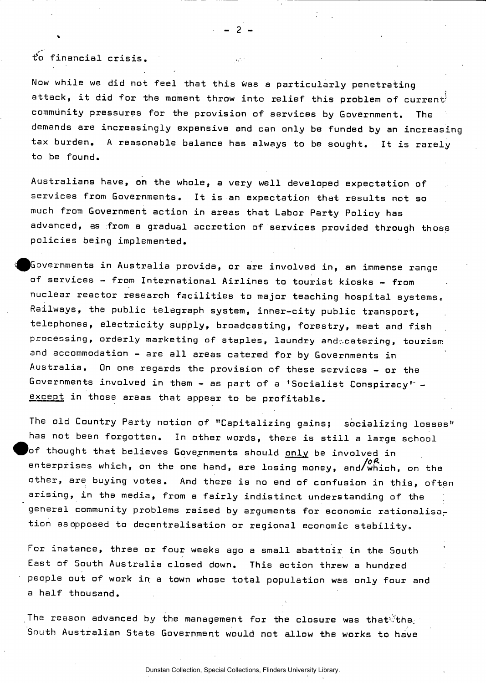t\*o financial crisis.

Now while we did not feel that this was a particularly penetrating attack, it did for the moment throw into relief this problem of current' community pressures for the provision of services by Government. The demands are increasingly expensive and can only be funded by an increasing tax burden. A reasonable balance has always to be sought. It is rarely to be found.

- 2 -

Australians have, on the whole, a very well developed expectation of services from Governments. It is an expectation that results not so much from Government action in areas that Labor Party Policy has advanced, as from a gradual accretion of services provided through those policies being implemented.

Governments in Australia provide, or are involved in, an immense range of services - from International Airlines to tourist kiosks - from nuclear reactor research facilities to major teaching hospital systems. Railways, the public telegraph system, inner-city public transport, telephones, electricity supply, broadcasting, forestry, meat and fish processing, orderly marketing of staples, laundry andecatering, tourism and accommodation - are all areas catered for by Governments in Australia. On one regards the provision of these services - or the Governments involved in them - as part of a 'Socialist Conspiracy'" except in those areas that appear to be profitable.

The old Country Party notion of "Capitalizing gains; socializing losses" has not been forgotten. In other words, there is still a large school of thought that believes Governments should <u>only</u> be involved in enterprises which, on the one hand, are losing money, and/which, on the other, are buying votes. And there is no end of confusion in this, often arising, in the media, from a fairly indistinct understanding of the general community problems raised by arguments for economic rationalisation as opposed to decentralisation or regional economic stability.

For instance, three or four weeks ago a small abattoir in the South East of South Australia closed down. This action threw a hundred people out of work in a town whose total population was only four and a half thousand.

The reason advanced by the management for the closure was that the South Australian State Government would not allow the works to have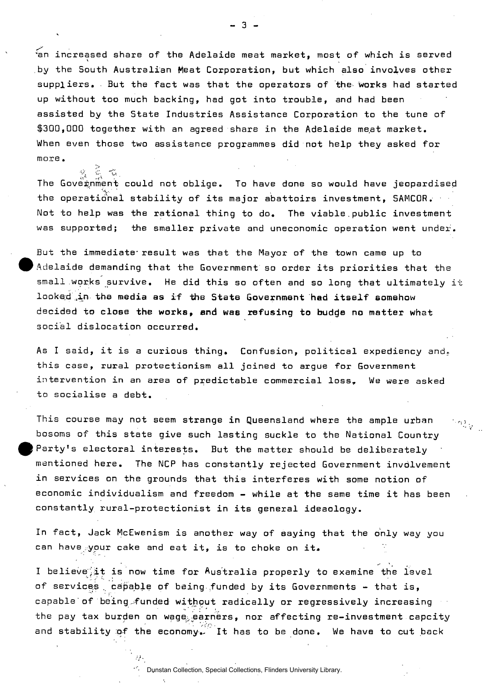"an increased share of the Adelaide meat market, most of which is served by the South Australian Meat Corporation, but which also involves other suppliers. But the fact was that the operators of the works had started up without too much backing, had got into trouble, and had been assisted by the State Industries Assistance Corporation to the tune of \$300,000 together with an agreed share in the Adelaide meat market. When even those two assistance programmes did not help they asked for more.

- 3 -

The Government could not oblige. To have done so would have jeopardised the operational stability of its major abattoirs investment, SAMC0R. Not to help was the rational thing to do. The viable.public investment was supported; the smaller private and uneconomic operation went under.

But the immediate result was that the Mayor of the town came up to Adelaide demanding that the Government so order its priorities that the small works survive. He did this so often and so long that ultimately it looked ,in the media as if the State Government had itself somehow decided to close the works, and was refusing to budde no matter what social dislocation occurred.

As I said, it is a curious thing. Confusion, political expediency and, this case, rural protectionism all joined to argue for Government intervention in an area of predictable commercial loss, We were asked to socialise a debt.

This course may not seem strange in Queensland where the ample urban  $\mathbb{P}_{\mathbb{P}_{\mathcal{N}_{\mathcal{A}}}}$ bosoms of this state give such lasting suckle to the National Country Party's electoral interests. But the matter should be deliberately mentioned here. The NCP has constantly rejected Government invdlvement in services on the grounds that this interferes with some notion of economic individualism and freedom - while at the same time it has been constantly rural-protectionist in its general ideaology.

In fact, Jack McEwenism is another way of aaying that the only way you can have your cake and eat it, is to choke on it.

I believe it is now time for Australia properly to examine the level of services, capable of being funded by its Governments - that is, capable of being funded without radically or regressively increasing the pay tax burden on wage, earners, nor affecting re-investment capcity and stability of the economy. It has to be done. We have to cut back

Dunstan Collection, Special Collections, Flinders University Library.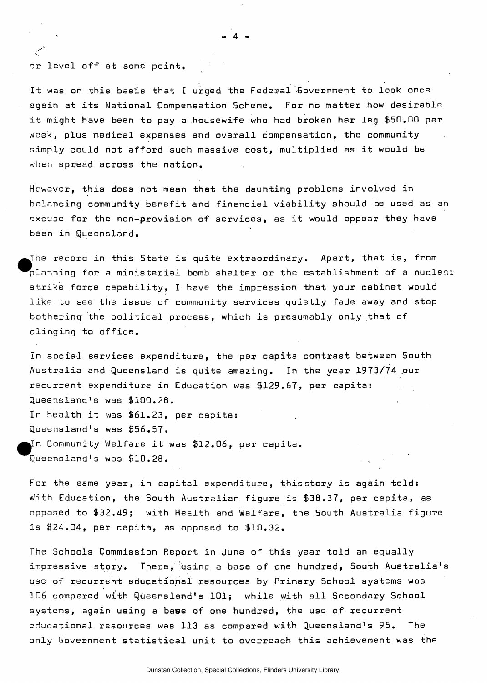or level off at some point

سيبي

It was on this basis that I urged the Federal Government to look once again at its National Compensation Scheme. For no matter how desirable it might have been to pay a housewife who had broken her leg \$50.00 per week, plus medical expenses and overall compensation, the community simply could not afford such massive cost, multiplied as it would be when spread across the nation.

However, this does not mean that the daunting problems involved in balancing community benefit and financial viability should be used as a excuse for the non-provision of services, as it would appear they have been in Queensland.

The record in this State is quite extraordinary. Apart, that is, from  $\mathsf{planning}$  for a ministerial bomb shelter or the establishment of a nuclear strike force capability, I have the impression that your cabinet would like to see the issue of community services quietly fade away and stop bothering the political process, which is presumably only that of clinging to office.

In social services expenditure, the per capita contrast between South Australia and Queensland is quite amazing. In the year 1973/74 .our recurrent expenditure in Education was \$129.67, per capita: Queensland's was \$100.28. In Health it was \$61.23, per capita: Queensland's was \$56.57. ^^[n Community Welfare it was \$12.06, per capita. Queensland's was \$10.28. .

For the same year, in capital expenditure, this story is again told: With Education, the South Australian figure is \$38.37, per capita, as opposed to \$32.49; with Health and Welfare, the South Australia figure is \$24.04, per capita, as opposed to \$10.32.

The Schools Commission Report in June of this year told an equally impressive story. There, using a base of one hundred, South Australia's use of recurrent educational resources by Primary School systems was 106 compared with Queensland's 101; while with all Secondary School systems, again using a bawe of one hundred, the use of recurrent educational resources was 113 as compared with Queensland's 95. The only Government statistical unit to overreach this achievement was the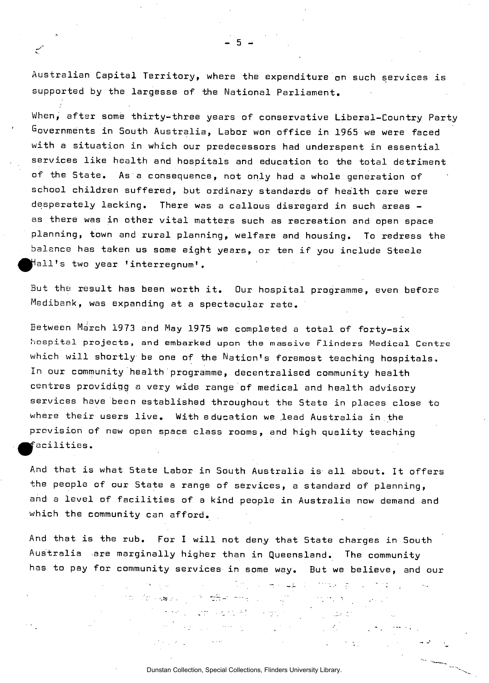Australian Capital Territory, where the expenditure on such services is supported by the largesse of the National Parliament.

- 5 -

مسيح

When, after some thirty-three years of conservative Liberal-Country Party Governments in South Australia, Labor won office in 1965 we were faced with a situation in which our predecessors had underspent in essential services like health and hospitals and education to the total detriment of the State. As a consequence, not only had a whole generation of school children suffered, but ordinary standards of health care were desperately lacking. There was a callous disregard in such areas as there was in other vital matters such as recreation and open space planning, town and rural planning, welfare and housing. To redress the balance has taken us some eight years, or ten if you include Steele ^pHall's two year 'interregnum'.

But the result has been worth it. Our hospital programme, even before Medibank, was expanding at a spectacular rate.

Between March 1973 and May 1975 we completed a total of forty-six **hospital projects, and embarked upon** the **massive Flinders Medical Centre**  which will shortly be one of the Nation's foremost teaching hospitals. In our community health programme, decentralised community health centres providing a very wide range of medical and health advisory services have been established throughout the State in places **close** to where their users live. With education we lead Australia in the provision of new open space class rooms, and high quality teaching ^p^acilities.

And that is what 5tate Labor in South Australia is all about. It offers the people of our State a range of services, a standard of planning, and a level of facilities of a kind people in Australia now demand and which the community can afford.

And that is the rub. For I will not deny that State charges in South Australia are marginally higher than in Queensland. The community has to pay for community services in some way. But we believe, and our

de valori pro referencia dell'

المستحدث والمنابع

the complete at the great

**However, and the state of the state of the state of the state of the state of the state of the state** 

 $\mathcal{L}^{\text{max}}_{\text{max}}$ 

 $\sigma_{\rm{max}}$ 

 $\mathcal{D}_{\mathcal{A}}^{\mathcal{A}}$  ,  $\mathcal{D}_{\mathcal{A}}^{\mathcal{A}}$  ,  $\mathcal{D}_{\mathcal{A}}^{\mathcal{A}}$  , and

 $\mathcal{L}_{\rm{L}}$  and  $\mathcal{L}_{\rm{L}}$ 

Dunstan Collection, Special Collections, Flinders University Library.